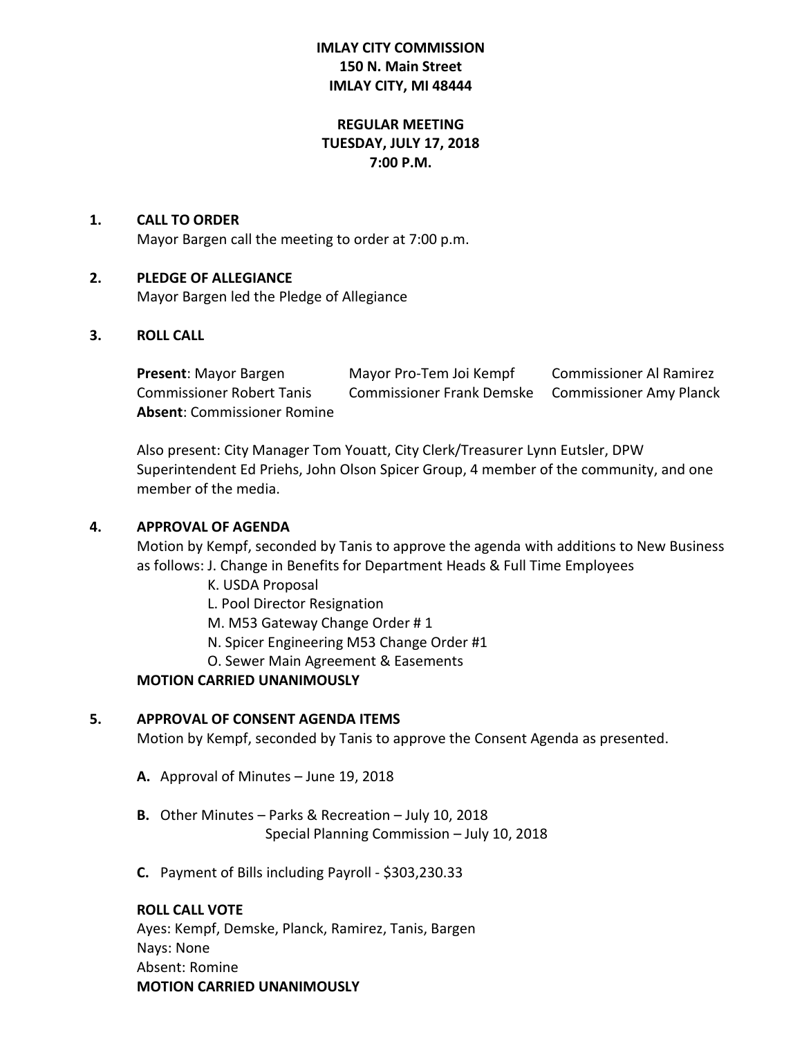# **IMLAY CITY COMMISSION 150 N. Main Street IMLAY CITY, MI 48444**

# **REGULAR MEETING TUESDAY, JULY 17, 2018 7:00 P.M.**

#### **1. CALL TO ORDER**

Mayor Bargen call the meeting to order at 7:00 p.m.

## **2. PLEDGE OF ALLEGIANCE**

Mayor Bargen led the Pledge of Allegiance

#### **3. ROLL CALL**

| <b>Present: Mayor Bargen</b>       | Mayor Pro-Tem Joi Kempf   | <b>Commissioner Al Ramirez</b> |
|------------------------------------|---------------------------|--------------------------------|
| <b>Commissioner Robert Tanis</b>   | Commissioner Frank Demske | <b>Commissioner Amy Planck</b> |
| <b>Absent:</b> Commissioner Romine |                           |                                |

Also present: City Manager Tom Youatt, City Clerk/Treasurer Lynn Eutsler, DPW Superintendent Ed Priehs, John Olson Spicer Group, 4 member of the community, and one member of the media.

#### **4. APPROVAL OF AGENDA**

Motion by Kempf, seconded by Tanis to approve the agenda with additions to New Business as follows: J. Change in Benefits for Department Heads & Full Time Employees

K. USDA Proposal

L. Pool Director Resignation

M. M53 Gateway Change Order # 1

N. Spicer Engineering M53 Change Order #1

O. Sewer Main Agreement & Easements

## **MOTION CARRIED UNANIMOUSLY**

#### **5. APPROVAL OF CONSENT AGENDA ITEMS**

Motion by Kempf, seconded by Tanis to approve the Consent Agenda as presented.

- **A.** Approval of Minutes June 19, 2018
- **B.** Other Minutes Parks & Recreation July 10, 2018 Special Planning Commission – July 10, 2018
- **C.** Payment of Bills including Payroll \$303,230.33

## **ROLL CALL VOTE**

Ayes: Kempf, Demske, Planck, Ramirez, Tanis, Bargen Nays: None Absent: Romine **MOTION CARRIED UNANIMOUSLY**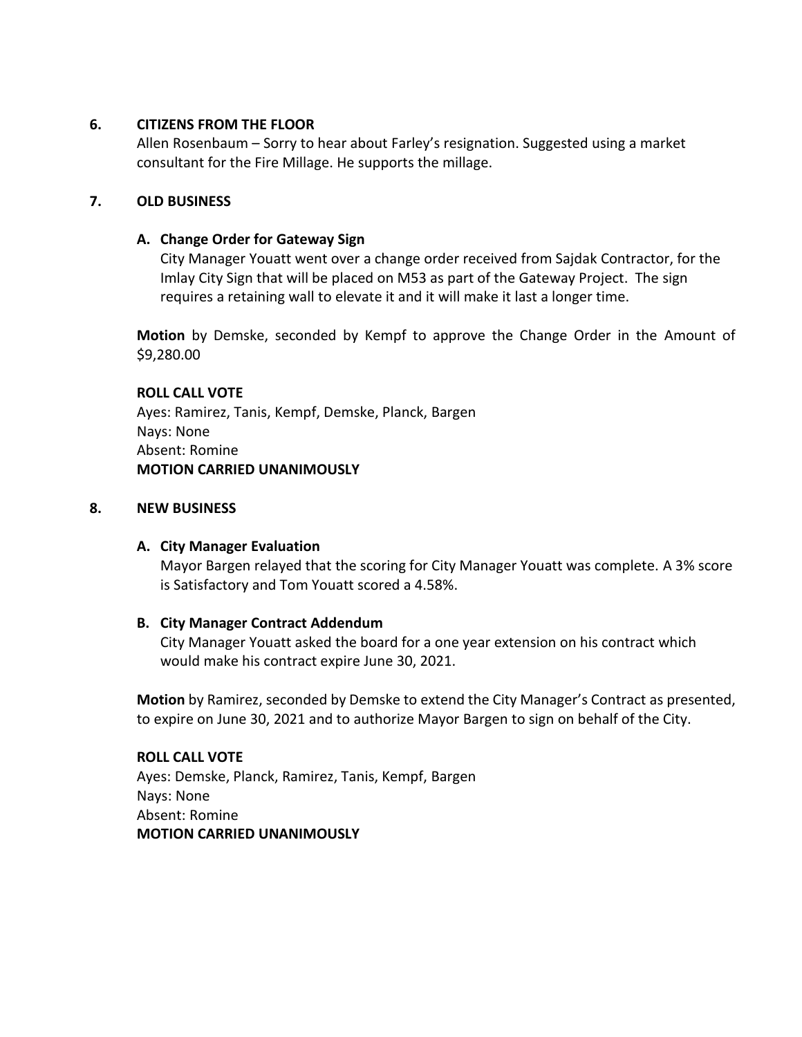# **6. CITIZENS FROM THE FLOOR**

Allen Rosenbaum – Sorry to hear about Farley's resignation. Suggested using a market consultant for the Fire Millage. He supports the millage.

# **7. OLD BUSINESS**

# **A. Change Order for Gateway Sign**

City Manager Youatt went over a change order received from Sajdak Contractor, for the Imlay City Sign that will be placed on M53 as part of the Gateway Project. The sign requires a retaining wall to elevate it and it will make it last a longer time.

**Motion** by Demske, seconded by Kempf to approve the Change Order in the Amount of \$9,280.00

## **ROLL CALL VOTE**

Ayes: Ramirez, Tanis, Kempf, Demske, Planck, Bargen Nays: None Absent: Romine **MOTION CARRIED UNANIMOUSLY**

#### **8. NEW BUSINESS**

## **A. City Manager Evaluation**

Mayor Bargen relayed that the scoring for City Manager Youatt was complete. A 3% score is Satisfactory and Tom Youatt scored a 4.58%.

## **B. City Manager Contract Addendum**

City Manager Youatt asked the board for a one year extension on his contract which would make his contract expire June 30, 2021.

**Motion** by Ramirez, seconded by Demske to extend the City Manager's Contract as presented, to expire on June 30, 2021 and to authorize Mayor Bargen to sign on behalf of the City.

## **ROLL CALL VOTE**

Ayes: Demske, Planck, Ramirez, Tanis, Kempf, Bargen Nays: None Absent: Romine **MOTION CARRIED UNANIMOUSLY**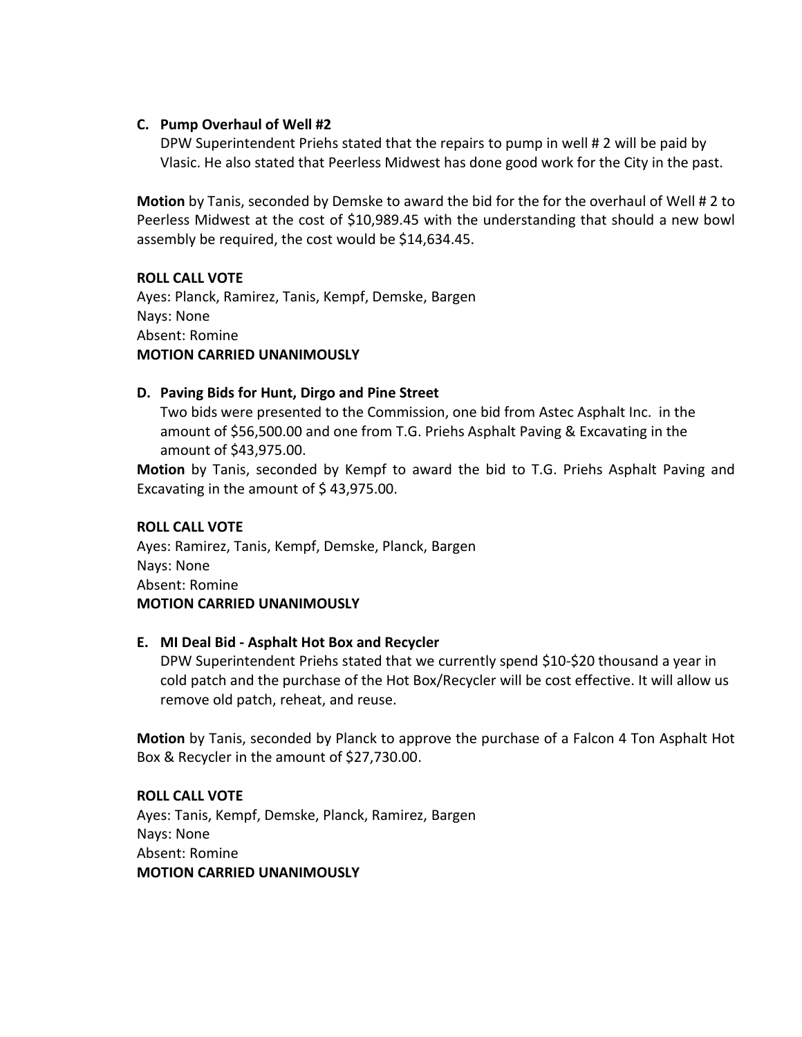## **C. Pump Overhaul of Well #2**

DPW Superintendent Priehs stated that the repairs to pump in well # 2 will be paid by Vlasic. He also stated that Peerless Midwest has done good work for the City in the past.

**Motion** by Tanis, seconded by Demske to award the bid for the for the overhaul of Well # 2 to Peerless Midwest at the cost of \$10,989.45 with the understanding that should a new bowl assembly be required, the cost would be \$14,634.45.

## **ROLL CALL VOTE**

Ayes: Planck, Ramirez, Tanis, Kempf, Demske, Bargen Nays: None Absent: Romine **MOTION CARRIED UNANIMOUSLY**

## **D. Paving Bids for Hunt, Dirgo and Pine Street**

Two bids were presented to the Commission, one bid from Astec Asphalt Inc. in the amount of \$56,500.00 and one from T.G. Priehs Asphalt Paving & Excavating in the amount of \$43,975.00.

**Motion** by Tanis, seconded by Kempf to award the bid to T.G. Priehs Asphalt Paving and Excavating in the amount of \$43,975.00.

#### **ROLL CALL VOTE**

Ayes: Ramirez, Tanis, Kempf, Demske, Planck, Bargen Nays: None Absent: Romine **MOTION CARRIED UNANIMOUSLY**

## **E. MI Deal Bid - Asphalt Hot Box and Recycler**

DPW Superintendent Priehs stated that we currently spend \$10-\$20 thousand a year in cold patch and the purchase of the Hot Box/Recycler will be cost effective. It will allow us remove old patch, reheat, and reuse.

**Motion** by Tanis, seconded by Planck to approve the purchase of a Falcon 4 Ton Asphalt Hot Box & Recycler in the amount of \$27,730.00.

# **ROLL CALL VOTE**

Ayes: Tanis, Kempf, Demske, Planck, Ramirez, Bargen Nays: None Absent: Romine **MOTION CARRIED UNANIMOUSLY**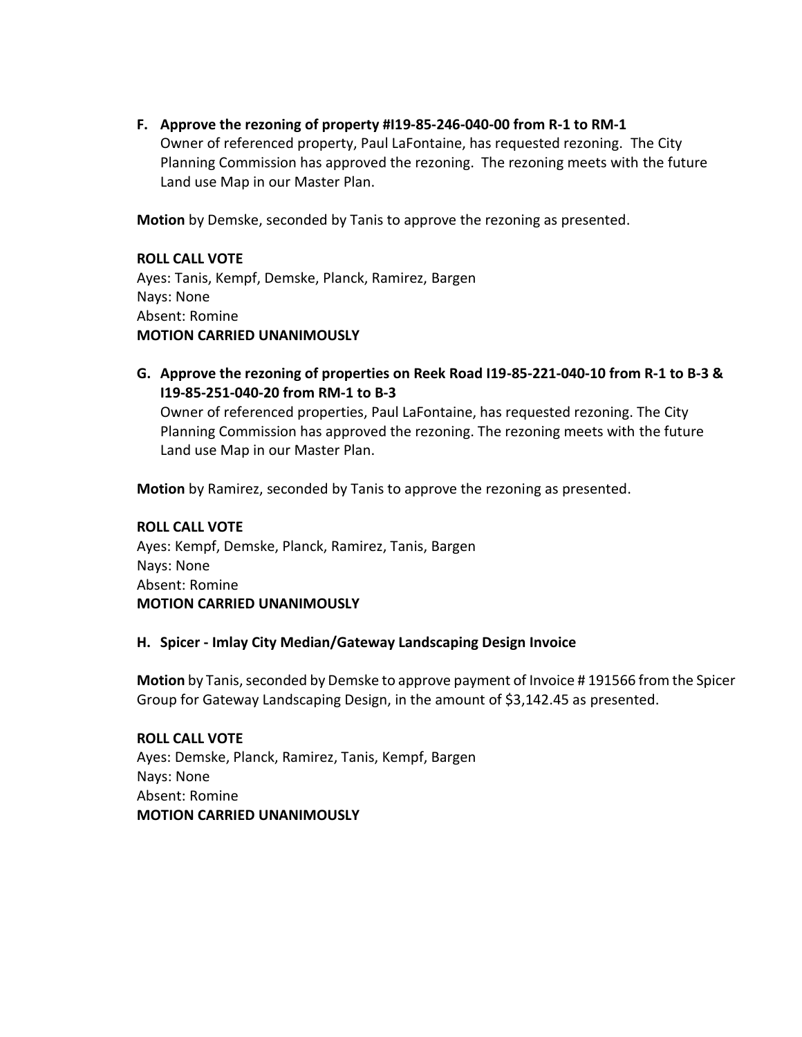**F. Approve the rezoning of property #I19-85-246-040-00 from R-1 to RM-1** Owner of referenced property, Paul LaFontaine, has requested rezoning. The City Planning Commission has approved the rezoning. The rezoning meets with the future Land use Map in our Master Plan.

**Motion** by Demske, seconded by Tanis to approve the rezoning as presented.

**ROLL CALL VOTE** Ayes: Tanis, Kempf, Demske, Planck, Ramirez, Bargen Nays: None Absent: Romine **MOTION CARRIED UNANIMOUSLY**

**G. Approve the rezoning of properties on Reek Road I19-85-221-040-10 from R-1 to B-3 & I19-85-251-040-20 from RM-1 to B-3**

Owner of referenced properties, Paul LaFontaine, has requested rezoning. The City Planning Commission has approved the rezoning. The rezoning meets with the future Land use Map in our Master Plan.

**Motion** by Ramirez, seconded by Tanis to approve the rezoning as presented.

## **ROLL CALL VOTE**

Ayes: Kempf, Demske, Planck, Ramirez, Tanis, Bargen Nays: None Absent: Romine **MOTION CARRIED UNANIMOUSLY**

## **H. Spicer - Imlay City Median/Gateway Landscaping Design Invoice**

**Motion** by Tanis, seconded by Demske to approve payment of Invoice # 191566 from the Spicer Group for Gateway Landscaping Design, in the amount of \$3,142.45 as presented.

**ROLL CALL VOTE** Ayes: Demske, Planck, Ramirez, Tanis, Kempf, Bargen Nays: None Absent: Romine **MOTION CARRIED UNANIMOUSLY**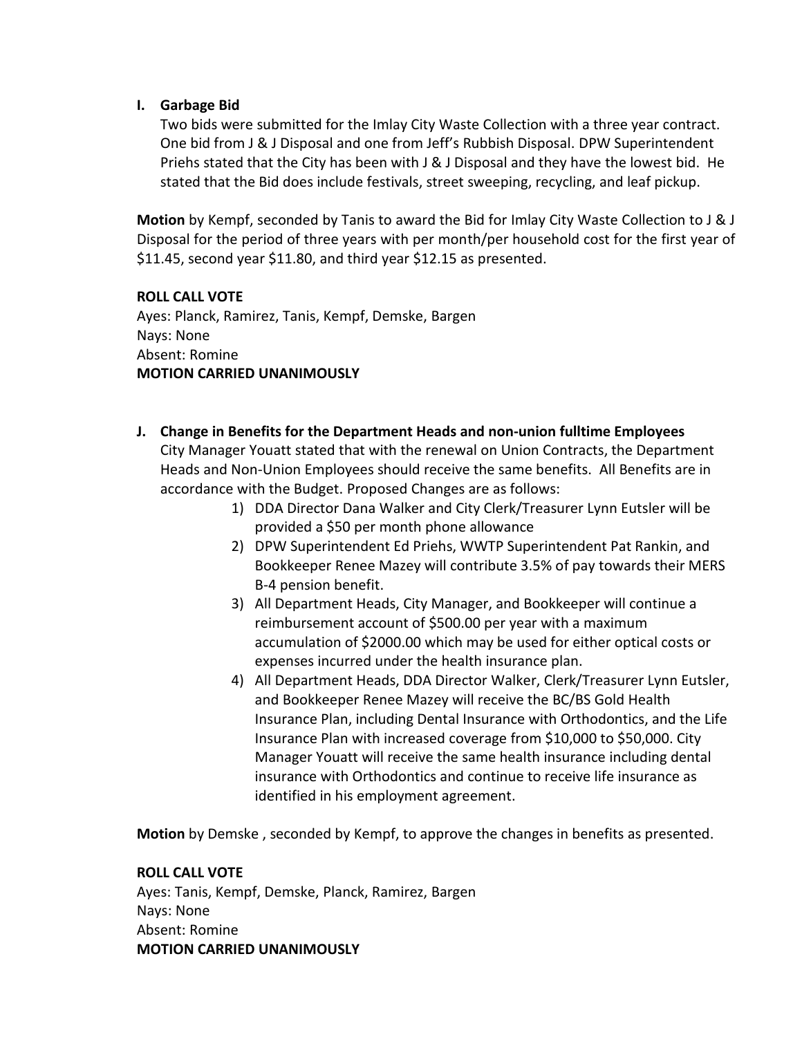# **I. Garbage Bid**

Two bids were submitted for the Imlay City Waste Collection with a three year contract. One bid from J & J Disposal and one from Jeff's Rubbish Disposal. DPW Superintendent Priehs stated that the City has been with J & J Disposal and they have the lowest bid. He stated that the Bid does include festivals, street sweeping, recycling, and leaf pickup.

**Motion** by Kempf, seconded by Tanis to award the Bid for Imlay City Waste Collection to J & J Disposal for the period of three years with per month/per household cost for the first year of \$11.45, second year \$11.80, and third year \$12.15 as presented.

## **ROLL CALL VOTE**

Ayes: Planck, Ramirez, Tanis, Kempf, Demske, Bargen Nays: None Absent: Romine **MOTION CARRIED UNANIMOUSLY**

- **J. Change in Benefits for the Department Heads and non-union fulltime Employees** City Manager Youatt stated that with the renewal on Union Contracts, the Department Heads and Non-Union Employees should receive the same benefits. All Benefits are in accordance with the Budget. Proposed Changes are as follows:
	- 1) DDA Director Dana Walker and City Clerk/Treasurer Lynn Eutsler will be provided a \$50 per month phone allowance
	- 2) DPW Superintendent Ed Priehs, WWTP Superintendent Pat Rankin, and Bookkeeper Renee Mazey will contribute 3.5% of pay towards their MERS B-4 pension benefit.
	- 3) All Department Heads, City Manager, and Bookkeeper will continue a reimbursement account of \$500.00 per year with a maximum accumulation of \$2000.00 which may be used for either optical costs or expenses incurred under the health insurance plan.
	- 4) All Department Heads, DDA Director Walker, Clerk/Treasurer Lynn Eutsler, and Bookkeeper Renee Mazey will receive the BC/BS Gold Health Insurance Plan, including Dental Insurance with Orthodontics, and the Life Insurance Plan with increased coverage from \$10,000 to \$50,000. City Manager Youatt will receive the same health insurance including dental insurance with Orthodontics and continue to receive life insurance as identified in his employment agreement.

**Motion** by Demske , seconded by Kempf, to approve the changes in benefits as presented.

## **ROLL CALL VOTE**

Ayes: Tanis, Kempf, Demske, Planck, Ramirez, Bargen Nays: None Absent: Romine **MOTION CARRIED UNANIMOUSLY**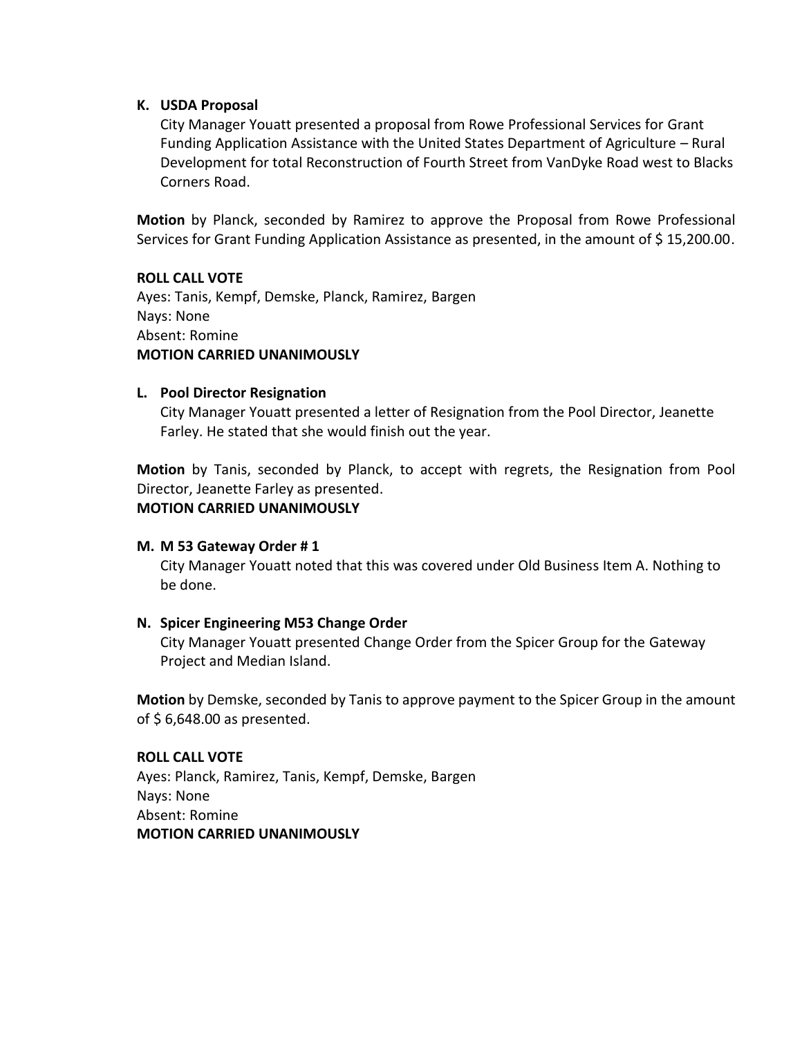## **K. USDA Proposal**

City Manager Youatt presented a proposal from Rowe Professional Services for Grant Funding Application Assistance with the United States Department of Agriculture – Rural Development for total Reconstruction of Fourth Street from VanDyke Road west to Blacks Corners Road.

**Motion** by Planck, seconded by Ramirez to approve the Proposal from Rowe Professional Services for Grant Funding Application Assistance as presented, in the amount of \$ 15,200.00.

#### **ROLL CALL VOTE**

Ayes: Tanis, Kempf, Demske, Planck, Ramirez, Bargen Nays: None Absent: Romine **MOTION CARRIED UNANIMOUSLY**

#### **L. Pool Director Resignation**

City Manager Youatt presented a letter of Resignation from the Pool Director, Jeanette Farley. He stated that she would finish out the year.

**Motion** by Tanis, seconded by Planck, to accept with regrets, the Resignation from Pool Director, Jeanette Farley as presented. **MOTION CARRIED UNANIMOUSLY**

#### **M. M 53 Gateway Order # 1**

City Manager Youatt noted that this was covered under Old Business Item A. Nothing to be done.

## **N. Spicer Engineering M53 Change Order**

City Manager Youatt presented Change Order from the Spicer Group for the Gateway Project and Median Island.

**Motion** by Demske, seconded by Tanis to approve payment to the Spicer Group in the amount of  $$6,648.00$  as presented.

#### **ROLL CALL VOTE**

Ayes: Planck, Ramirez, Tanis, Kempf, Demske, Bargen Nays: None Absent: Romine **MOTION CARRIED UNANIMOUSLY**